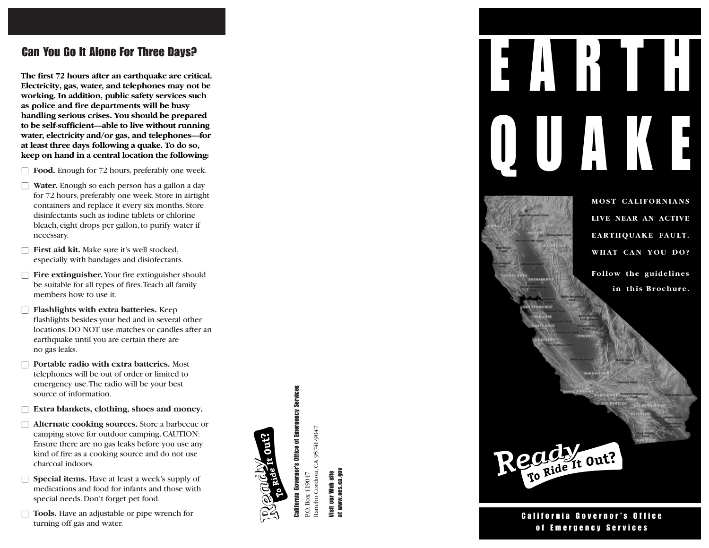### Can You Go It Alone For Three Days?

**The first 72 hours after an earthquake are critical. Electricity, gas, water, and telephones may not be working. In addition, public safety services such as police and fire departments will be busy handling serious crises. You should be prepared to be self-sufficient—able to live without running water, electricity and/or gas, and telephones—for at least three days following a quake. To do so, keep on hand in a central location the following:**

- $\Box$  **Food.** Enough for 72 hours, preferably one week.
- □ **Water.** Enough so each person has a gallon a day for 72 hours, preferably one week. Store in airtight containers and replace it every six months.Store disinfectants such as iodine tablets or chlorine bleach, eight drops per gallon, to purify water if necessary.
- □ **First aid kit.** Make sure it's well stocked, especially with bandages and disinfectants.
- □ **Fire extinguisher.** Your fire extinguisher should be suitable for all types of fires.Teach all family members how to use it.
- □ **Flashlights with extra batteries.** Keep flashlights besides your bed and in several other locations.DO NOT use matches or candles after an earthquake until you are certain there are no gas leaks.
- □ **Portable radio with extra batteries.** Most telephones will be out of order or limited to emergency use.The radio will be your best source of information.
- **Extra blankets, clothing, shoes and money.**
- □ **Alternate cooking sources.** Store a barbecue or camping stove for outdoor camping.CAUTION: Ensure there are no gas leaks before you use any kind of fire as a cooking source and do not use charcoal indoors.
- □ **Special items.** Have at least a week's supply of medications and food for infants and those with special needs.Don't forget pet food.
- □ **Tools.** Have an adjustable or pipe wrench for turning off gas and water.



ancho Cordova, CA 95741-9047 Rancho Cordova, CA 95741-9047 ?O. Box 419047 P.O. Box 419047

at www.oes.ca.gov Visit our Web site our Web lisit



**MOST CALIFORNIANS LIVE NEAR AN ACTIVE EARTHQUAKE FAULT. WHAT CAN YOU DO? Follow the guidelines in this Brochure.**

California Governor's Office of Emergency Services

Regide it out?